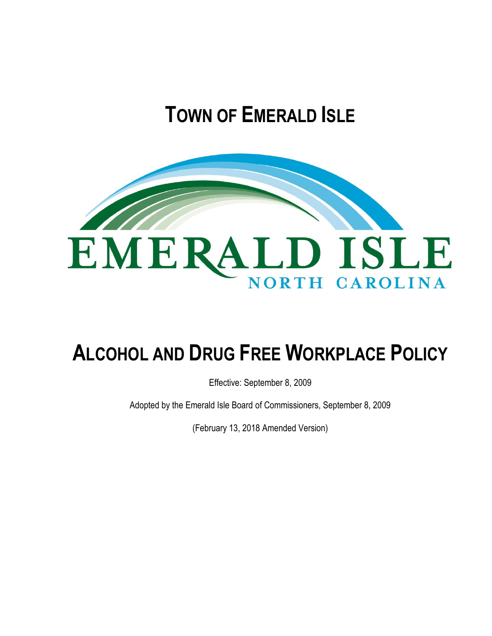# **TOWN OF EMERALD ISLE**



# **ALCOHOL AND DRUG FREE WORKPLACE POLICY**

Effective: September 8, 2009

Adopted by the Emerald Isle Board of Commissioners, September 8, 2009

(February 13, 2018 Amended Version)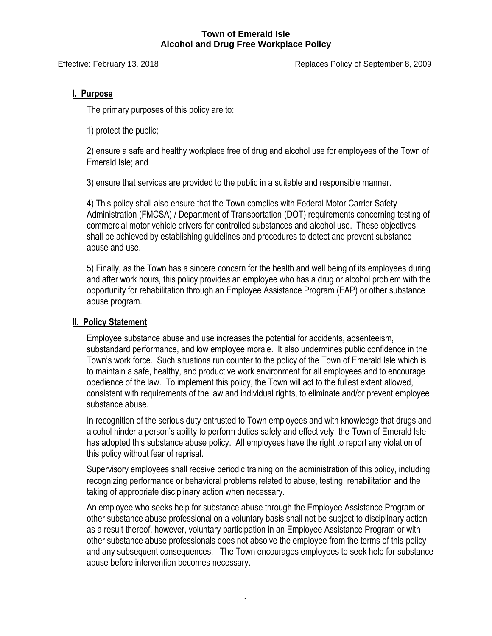Effective: February 13, 2018 Replaces Policy of September 8, 2009

# **I. Purpose**

The primary purposes of this policy are to:

1) protect the public;

2) ensure a safe and healthy workplace free of drug and alcohol use for employees of the Town of Emerald Isle; and

3) ensure that services are provided to the public in a suitable and responsible manner.

4) This policy shall also ensure that the Town complies with Federal Motor Carrier Safety Administration (FMCSA) / Department of Transportation (DOT) requirements concerning testing of commercial motor vehicle drivers for controlled substances and alcohol use. These objectives shall be achieved by establishing guidelines and procedures to detect and prevent substance abuse and use.

5) Finally, as the Town has a sincere concern for the health and well being of its employees during and after work hours, this policy provide*s* an employee who has a drug or alcohol problem with the opportunity for rehabilitation through an Employee Assistance Program (EAP) or other substance abuse program.

# **II. Policy Statement**

Employee substance abuse and use increases the potential for accidents, absenteeism, substandard performance, and low employee morale. It also undermines public confidence in the Town's work force. Such situations run counter to the policy of the Town of Emerald Isle which is to maintain a safe, healthy, and productive work environment for all employees and to encourage obedience of the law. To implement this policy, the Town will act to the fullest extent allowed, consistent with requirements of the law and individual rights, to eliminate and/or prevent employee substance abuse.

In recognition of the serious duty entrusted to Town employees and with knowledge that drugs and alcohol hinder a person's ability to perform duties safely and effectively, the Town of Emerald Isle has adopted this substance abuse policy. All employees have the right to report any violation of this policy without fear of reprisal.

Supervisory employees shall receive periodic training on the administration of this policy, including recognizing performance or behavioral problems related to abuse, testing, rehabilitation and the taking of appropriate disciplinary action when necessary.

An employee who seeks help for substance abuse through the Employee Assistance Program or other substance abuse professional on a voluntary basis shall not be subject to disciplinary action as a result thereof, however, voluntary participation in an Employee Assistance Program or with other substance abuse professionals does not absolve the employee from the terms of this policy and any subsequent consequences. The Town encourages employees to seek help for substance abuse before intervention becomes necessary.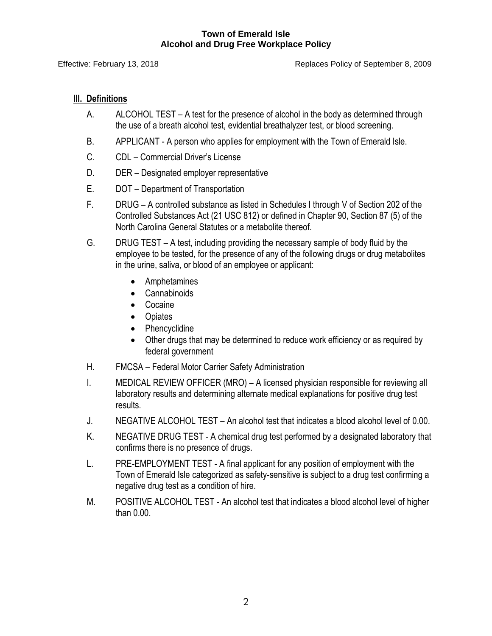Effective: February 13, 2018 Replaces Policy of September 8, 2009

# **III. Definitions**

- A. ALCOHOL TEST A test for the presence of alcohol in the body as determined through the use of a breath alcohol test, evidential breathalyzer test, or blood screening.
- B. APPLICANT A person who applies for employment with the Town of Emerald Isle.
- C*.* CDL Commercial Driver's License
- D. DER Designated employer representative
- E. DOT Department of Transportation
- F. DRUG A controlled substance as listed in Schedules I through V of Section 202 of the Controlled Substances Act (21 USC 812) or defined in Chapter 90, Section 87 (5) of the North Carolina General Statutes or a metabolite thereof.
- G. DRUG TEST A test, including providing the necessary sample of body fluid by the employee to be tested, for the presence of any of the following drugs or drug metabolites in the urine, saliva, or blood of an employee or applicant:
	- Amphetamines
	- Cannabinoids
	- Cocaine
	- Opiates
	- Phencyclidine
	- Other drugs that may be determined to reduce work efficiency or as required by federal government
- H. FMCSA Federal Motor Carrier Safety Administration
- I. MEDICAL REVIEW OFFICER (MRO) A licensed physician responsible for reviewing all laboratory results and determining alternate medical explanations for positive drug test results.
- J. NEGATIVE ALCOHOL TEST An alcohol test that indicates a blood alcohol level of 0.00.
- K. NEGATIVE DRUG TEST A chemical drug test performed by a designated laboratory that confirms there is no presence of drugs.
- L. PRE-EMPLOYMENT TEST A final applicant for any position of employment with the Town of Emerald Isle categorized as safety-sensitive is subject to a drug test confirming a negative drug test as a condition of hire.
- M. POSITIVE ALCOHOL TEST An alcohol test that indicates a blood alcohol level of higher than 0.00.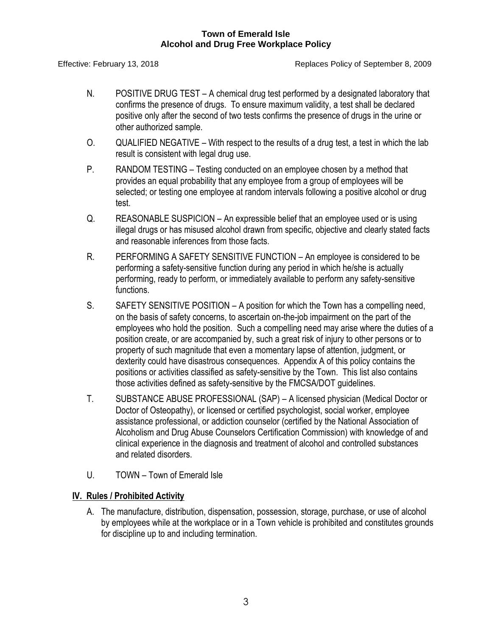Effective: February 13, 2018 Replaces Policy of September 8, 2009

- N. POSITIVE DRUG TEST A chemical drug test performed by a designated laboratory that confirms the presence of drugs. To ensure maximum validity, a test shall be declared positive only after the second of two tests confirms the presence of drugs in the urine or other authorized sample.
- O. QUALIFIED NEGATIVE With respect to the results of a drug test, a test in which the lab result is consistent with legal drug use.
- P. RANDOM TESTING Testing conducted on an employee chosen by a method that provides an equal probability that any employee from a group of employees will be selected; or testing one employee at random intervals following a positive alcohol or drug test.
- Q. REASONABLE SUSPICION An expressible belief that an employee used or is using illegal drugs or has misused alcohol drawn from specific, objective and clearly stated facts and reasonable inferences from those facts.
- R. PERFORMING A SAFETY SENSITIVE FUNCTION An employee is considered to be performing a safety-sensitive function during any period in which he/she is actually performing, ready to perform, or immediately available to perform any safety-sensitive functions.
- S. SAFETY SENSITIVE POSITION A position for which the Town has a compelling need, on the basis of safety concerns, to ascertain on-the-job impairment on the part of the employees who hold the position. Such a compelling need may arise where the duties of a position create, or are accompanied by, such a great risk of injury to other persons or to property of such magnitude that even a momentary lapse of attention, judgment, or dexterity could have disastrous consequences. Appendix A of this policy contains the positions or activities classified as safety-sensitive by the Town. This list also contains those activities defined as safety-sensitive by the FMCSA/DOT guidelines.
- T. SUBSTANCE ABUSE PROFESSIONAL (SAP) A licensed physician (Medical Doctor or Doctor of Osteopathy), or licensed or certified psychologist, social worker, employee assistance professional, or addiction counselor (certified by the National Association of Alcoholism and Drug Abuse Counselors Certification Commission) with knowledge of and clinical experience in the diagnosis and treatment of alcohol and controlled substances and related disorders.
- U. TOWN Town of Emerald Isle

# **IV. Rules / Prohibited Activity**

A. The manufacture, distribution, dispensation, possession, storage, purchase, or use of alcohol by employees while at the workplace or in a Town vehicle is prohibited and constitutes grounds for discipline up to and including termination.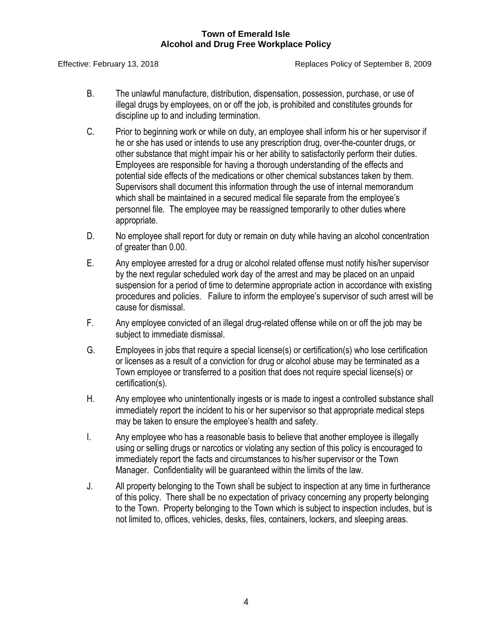Effective: February 13, 2018 Replaces Policy of September 8, 2009

- B. The unlawful manufacture, distribution, dispensation, possession, purchase, or use of illegal drugs by employees, on or off the job, is prohibited and constitutes grounds for discipline up to and including termination.
- C. Prior to beginning work or while on duty, an employee shall inform his or her supervisor if he or she has used or intends to use any prescription drug, over-the-counter drugs, or other substance that might impair his or her ability to satisfactorily perform their duties. Employees are responsible for having a thorough understanding of the effects and potential side effects of the medications or other chemical substances taken by them. Supervisors shall document this information through the use of internal memorandum which shall be maintained in a secured medical file separate from the employee's personnel file*.* The employee may be reassigned temporarily to other duties where appropriate.
- D. No employee shall report for duty or remain on duty while having an alcohol concentration of greater than 0.00.
- E. Any employee arrested for a drug or alcohol related offense must notify his/her supervisor by the next regular scheduled work day of the arrest and may be placed on an unpaid suspension for a period of time to determine appropriate action in accordance with existing procedures and policies. Failure to inform the employee's supervisor of such arrest will be cause for dismissal.
- F. Any employee convicted of an illegal drug-related offense while on or off the job may be subject to immediate dismissal.
- G. Employees in jobs that require a special license(s) or certification(s) who lose certification or licenses as a result of a conviction for drug or alcohol abuse may be terminated as a Town employee or transferred to a position that does not require special license(s) or certification(s).
- H. Any employee who unintentionally ingests or is made to ingest a controlled substance shall immediately report the incident to his or her supervisor so that appropriate medical steps may be taken to ensure the employee's health and safety.
- I. Any employee who has a reasonable basis to believe that another employee is illegally using or selling drugs or narcotics or violating any section of this policy is encouraged to immediately report the facts and circumstances to his/her supervisor or the Town Manager. Confidentiality will be guaranteed within the limits of the law.
- J. All property belonging to the Town shall be subject to inspection at any time in furtherance of this policy. There shall be no expectation of privacy concerning any property belonging to the Town. Property belonging to the Town which is subject to inspection includes, but is not limited to, offices, vehicles, desks, files, containers, lockers, and sleeping areas.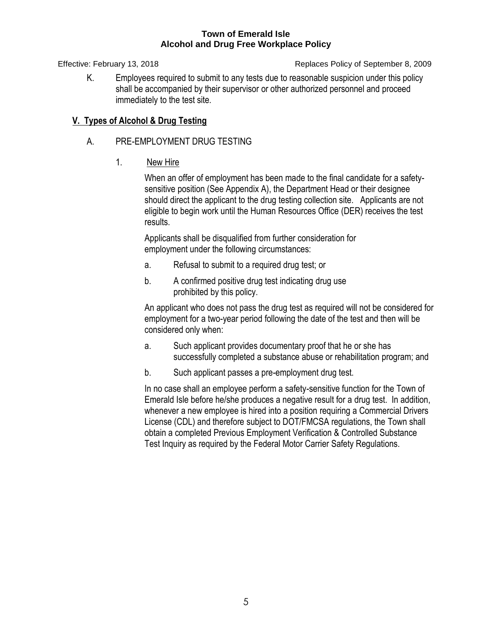Effective: February 13, 2018 Replaces Policy of September 8, 2009

K. Employees required to submit to any tests due to reasonable suspicion under this policy shall be accompanied by their supervisor or other authorized personnel and proceed immediately to the test site*.*

# **V. Types of Alcohol & Drug Testing**

- A. PRE-EMPLOYMENT DRUG TESTING
	- 1. New Hire

When an offer of employment has been made to the final candidate for a safetysensitive position (See Appendix A), the Department Head or their designee should direct the applicant to the drug testing collection site. Applicants are not eligible to begin work until the Human Resources Office (DER) receives the test results.

Applicants shall be disqualified from further consideration for employment under the following circumstances:

- a. Refusal to submit to a required drug test; or
- b. A confirmed positive drug test indicating drug use prohibited by this policy.

An applicant who does not pass the drug test as required will not be considered for employment for a two-year period following the date of the test and then will be considered only when:

- a. Such applicant provides documentary proof that he or she has successfully completed a substance abuse or rehabilitation program; and
- b. Such applicant passes a pre-employment drug test.

In no case shall an employee perform a safety-sensitive function for the Town of Emerald Isle before he/she produces a negative result for a drug test. In addition, whenever a new employee is hired into a position requiring a Commercial Drivers License (CDL) and therefore subject to DOT/FMCSA regulations, the Town shall obtain a completed Previous Employment Verification & Controlled Substance Test Inquiry as required by the Federal Motor Carrier Safety Regulations.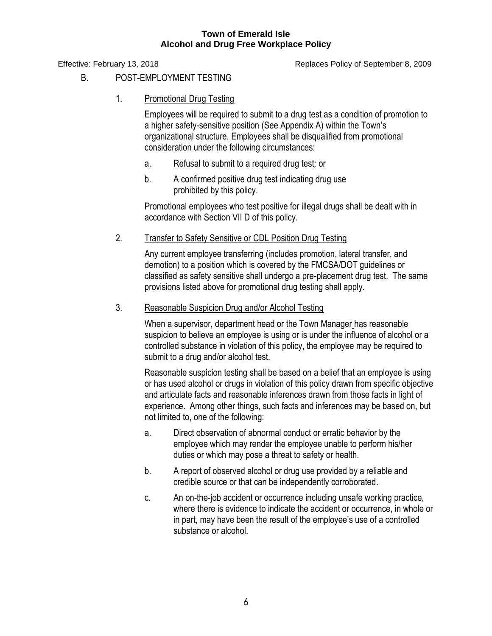Effective: February 13, 2018 Replaces Policy of September 8, 2009

- B. POST-EMPLOYMENT TESTING
	- 1. Promotional Drug Testing

Employees will be required to submit to a drug test as a condition of promotion to a higher safety-sensitive position (See Appendix A) within the Town's organizational structure. Employees shall be disqualified from promotional consideration under the following circumstances:

- a. Refusal to submit to a required drug test*;* or
- b. A confirmed positive drug test indicating drug use prohibited by this policy.

Promotional employees who test positive for illegal drugs shall be dealt with in accordance with Section VII D of this policy.

2. Transfer to Safety Sensitive or CDL Position Drug Testing

Any current employee transferring (includes promotion, lateral transfer, and demotion) to a position which is covered by the FMCSA/DOT guidelines or classified as safety sensitive shall undergo a pre-placement drug test. The same provisions listed above for promotional drug testing shall apply.

# 3. Reasonable Suspicion Drug and/or Alcohol Testing

When a supervisor, department head or the Town Manager has reasonable suspicion to believe an employee is using or is under the influence of alcohol or a controlled substance in violation of this policy, the employee may be required to submit to a drug and/or alcohol test.

Reasonable suspicion testing shall be based on a belief that an employee is using or has used alcohol or drugs in violation of this policy drawn from specific objective and articulate facts and reasonable inferences drawn from those facts in light of experience. Among other things, such facts and inferences may be based on, but not limited to, one of the following:

- a. Direct observation of abnormal conduct or erratic behavior by the employee which may render the employee unable to perform his/her duties or which may pose a threat to safety or health.
- b. A report of observed alcohol or drug use provided by a reliable and credible source or that can be independently corroborated.
- c. An on-the-job accident or occurrence including unsafe working practice, where there is evidence to indicate the accident or occurrence, in whole or in part, may have been the result of the employee's use of a controlled substance or alcohol.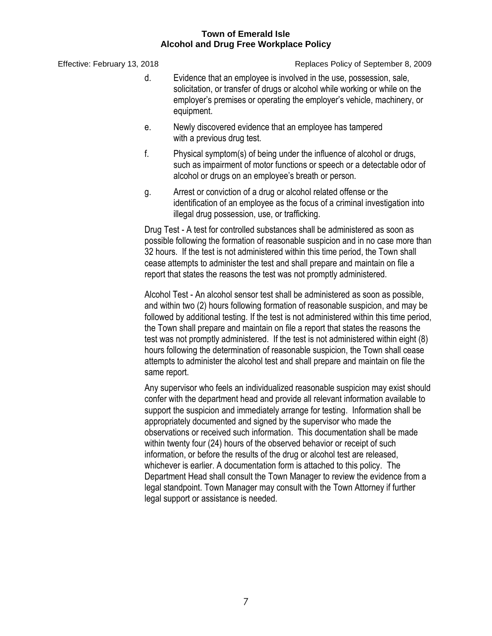Effective: February 13, 2018 Replaces Policy of September 8, 2009

- d. Evidence that an employee is involved in the use, possession, sale, solicitation, or transfer of drugs or alcohol while working or while on the employer's premises or operating the employer's vehicle, machinery, or equipment.
- e. Newly discovered evidence that an employee has tampered with a previous drug test.
- f. Physical symptom(s) of being under the influence of alcohol or drugs, such as impairment of motor functions or speech or a detectable odor of alcohol or drugs on an employee's breath or person.
- g. Arrest or conviction of a drug or alcohol related offense or the identification of an employee as the focus of a criminal investigation into illegal drug possession, use, or trafficking.

Drug Test - A test for controlled substances shall be administered as soon as possible following the formation of reasonable suspicion and in no case more than 32 hours. If the test is not administered within this time period, the Town shall cease attempts to administer the test and shall prepare and maintain on file a report that states the reasons the test was not promptly administered.

Alcohol Test - An alcohol sensor test shall be administered as soon as possible, and within two (2) hours following formation of reasonable suspicion, and may be followed by additional testing. If the test is not administered within this time period, the Town shall prepare and maintain on file a report that states the reasons the test was not promptly administered. If the test is not administered within eight (8) hours following the determination of reasonable suspicion, the Town shall cease attempts to administer the alcohol test and shall prepare and maintain on file the same report.

Any supervisor who feels an individualized reasonable suspicion may exist should confer with the department head and provide all relevant information available to support the suspicion and immediately arrange for testing. Information shall be appropriately documented and signed by the supervisor who made the observations or received such information. This documentation shall be made within twenty four (24) hours of the observed behavior or receipt of such information, or before the results of the drug or alcohol test are released, whichever is earlier. A documentation form is attached to this policy. The Department Head shall consult the Town Manager to review the evidence from a legal standpoint. Town Manager may consult with the Town Attorney if further legal support or assistance is needed.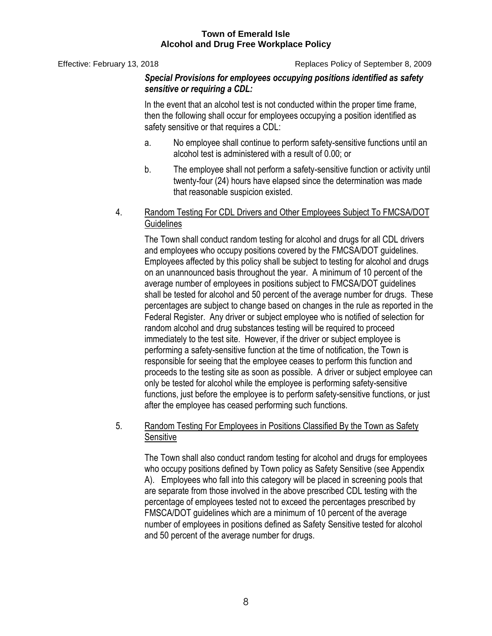Effective: February 13, 2018 Replaces Policy of September 8, 2009

# *Special Provisions for employees occupying positions identified as safety sensitive or requiring a CDL:*

In the event that an alcohol test is not conducted within the proper time frame, then the following shall occur for employees occupying a position identified as safety sensitive or that requires a CDL:

- a. No employee shall continue to perform safety-sensitive functions until an alcohol test is administered with a result of 0.00; or
- b. The employee shall not perform a safety-sensitive function or activity until twenty-four (24) hours have elapsed since the determination was made that reasonable suspicion existed.
- 4. Random Testing For CDL Drivers and Other Employees Subject To FMCSA/DOT **Guidelines**

The Town shall conduct random testing for alcohol and drugs for all CDL drivers and employees who occupy positions covered by the FMCSA/DOT guidelines. Employees affected by this policy shall be subject to testing for alcohol and drugs on an unannounced basis throughout the year. A minimum of 10 percent of the average number of employees in positions subject to FMCSA/DOT guidelines shall be tested for alcohol and 50 percent of the average number for drugs. These percentages are subject to change based on changes in the rule as reported in the Federal Register. Any driver or subject employee who is notified of selection for random alcohol and drug substances testing will be required to proceed immediately to the test site. However, if the driver or subject employee is performing a safety-sensitive function at the time of notification, the Town is responsible for seeing that the employee ceases to perform this function and proceeds to the testing site as soon as possible. A driver or subject employee can only be tested for alcohol while the employee is performing safety-sensitive functions, just before the employee is to perform safety-sensitive functions, or just after the employee has ceased performing such functions.

# 5. Random Testing For Employees in Positions Classified By the Town as Safety **Sensitive**

The Town shall also conduct random testing for alcohol and drugs for employees who occupy positions defined by Town policy as Safety Sensitive (see Appendix A). Employees who fall into this category will be placed in screening pools that are separate from those involved in the above prescribed CDL testing with the percentage of employees tested not to exceed the percentages prescribed by FMSCA/DOT guidelines which are a minimum of 10 percent of the average number of employees in positions defined as Safety Sensitive tested for alcohol and 50 percent of the average number for drugs.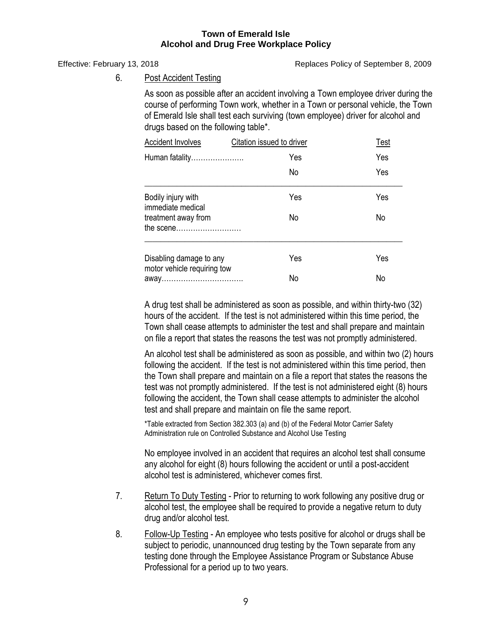Effective: February 13, 2018 Replaces Policy of September 8, 2009

6. Post Accident Testing

As soon as possible after an accident involving a Town employee driver during the course of performing Town work, whether in a Town or personal vehicle, the Town of Emerald Isle shall test each surviving (town employee) driver for alcohol and drugs based on the following table\*.

| <b>Accident Involves</b>                               | Citation issued to driver | Test |  |
|--------------------------------------------------------|---------------------------|------|--|
| Human fatality                                         | Yes                       | Yes  |  |
|                                                        | No                        | Yes  |  |
| Bodily injury with<br>immediate medical                | Yes                       | Yes  |  |
| treatment away from<br>the scene                       | No                        | No   |  |
| Disabling damage to any<br>motor vehicle requiring tow | Yes                       | Yes  |  |
|                                                        | No                        | No   |  |

A drug test shall be administered as soon as possible, and within thirty-two (32) hours of the accident. If the test is not administered within this time period, the Town shall cease attempts to administer the test and shall prepare and maintain on file a report that states the reasons the test was not promptly administered.

An alcohol test shall be administered as soon as possible, and within two (2) hours following the accident. If the test is not administered within this time period, then the Town shall prepare and maintain on a file a report that states the reasons the test was not promptly administered. If the test is not administered eight (8) hours following the accident, the Town shall cease attempts to administer the alcohol test and shall prepare and maintain on file the same report.

\*Table extracted from Section 382.303 (a) and (b) of the Federal Motor Carrier Safety Administration rule on Controlled Substance and Alcohol Use Testing

No employee involved in an accident that requires an alcohol test shall consume any alcohol for eight (8) hours following the accident or until a post-accident alcohol test is administered, whichever comes first.

- 7. Return To Duty Testing Prior to returning to work following any positive drug or alcohol test, the employee shall be required to provide a negative return to duty drug and/or alcohol test.
- 8. Follow-Up Testing An employee who tests positive for alcohol or drugs shall be subject to periodic, unannounced drug testing by the Town separate from any testing done through the Employee Assistance Program or Substance Abuse Professional for a period up to two years.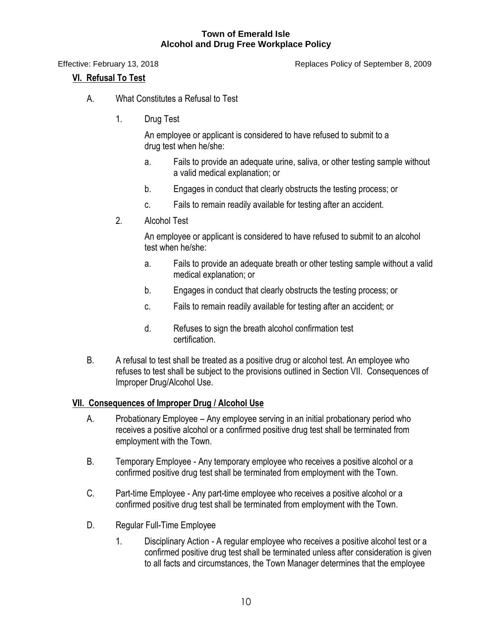Effective: February 13, 2018 Replaces Policy of September 8, 2009

# **VI. Refusal To Test**

- A. What Constitutes a Refusal to Test
	- 1. Drug Test

An employee or applicant is considered to have refused to submit to a drug test when he/she:

- a. Fails to provide an adequate urine, saliva, or other testing sample without a valid medical explanation; or
- b. Engages in conduct that clearly obstructs the testing process; or
- c. Fails to remain readily available for testing after an accident.
- 2. Alcohol Test

An employee or applicant is considered to have refused to submit to an alcohol test when he/she:

- a. Fails to provide an adequate breath or other testing sample without a valid medical explanation; or
- b. Engages in conduct that clearly obstructs the testing process; or
- c. Fails to remain readily available for testing after an accident; or
- d. Refuses to sign the breath alcohol confirmation test certification.
- B. A refusal to test shall be treated as a positive drug or alcohol test. An employee who refuses to test shall be subject to the provisions outlined in Section VII. Consequences of Improper Drug/Alcohol Use.

# **VII. Consequences of Improper Drug / Alcohol Use**

- A. Probationary Employee *–* Any employee serving in an initial probationary period who receives a positive alcohol or a confirmed positive drug test shall be terminated from employment with the Town.
- B. Temporary Employee Any temporary employee who receives a positive alcohol or a confirmed positive drug test shall be terminated from employment with the Town.
- C. Part-time Employee Any part-time employee who receives a positive alcohol or a confirmed positive drug test shall be terminated from employment with the Town.
- D. Regular Full-Time Employee
	- 1. Disciplinary Action *-* A regular employee who receives a positive alcohol test or a confirmed positive drug test shall be terminated unless after consideration is given to all facts and circumstances, the Town Manager determines that the employee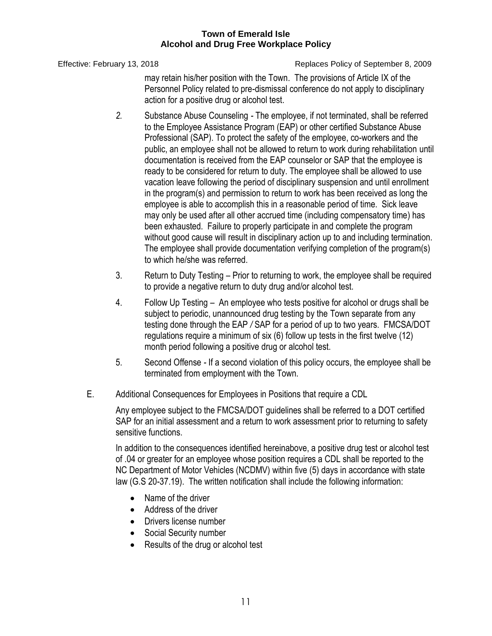Effective: February 13, 2018 Replaces Policy of September 8, 2009

may retain his/her position with the Town. The provisions of Article IX of the Personnel Policy related to pre-dismissal conference do not apply to disciplinary action for a positive drug or alcohol test.

- *2.* Substance Abuse Counseling *-* The employee, if not terminated, shall be referred to the Employee Assistance Program (EAP) or other certified Substance Abuse Professional (SAP). To protect the safety of the employee, co-workers and the public, an employee shall not be allowed to return to work during rehabilitation until documentation is received from the EAP counselor or SAP that the employee is ready to be considered for return to duty. The employee shall be allowed to use vacation leave following the period of disciplinary suspension and until enrollment in the program(s) and permission to return to work has been received as long the employee is able to accomplish this in a reasonable period of time. Sick leave may only be used after all other accrued time (including compensatory time) has been exhausted. Failure to properly participate in and complete the program without good cause will result in disciplinary action up to and including termination. The employee shall provide documentation verifying completion of the program(s) to which he/she was referred.
- 3. Return to Duty Testing Prior to returning to work, the employee shall be required to provide a negative return to duty drug and/or alcohol test.
- 4. Follow Up Testing *–* An employee who tests positive for alcohol or drugs shall be subject to periodic, unannounced drug testing by the Town separate from any testing done through the EAP */* SAP for a period of up to two years. FMCSA/DOT regulations require a minimum of six (6) follow up tests in the first twelve (12) month period following a positive drug or alcohol test.
- 5. Second Offense *-* If a second violation of this policy occurs, the employee shall be terminated from employment with the Town.
- E. Additional Consequences for Employees in Positions that require a CDL

Any employee subject to the FMCSA/DOT guidelines shall be referred to a DOT certified SAP for an initial assessment and a return to work assessment prior to returning to safety sensitive functions.

In addition to the consequences identified hereinabove, a positive drug test or alcohol test of .04 or greater for an employee whose position requires a CDL shall be reported to the NC Department of Motor Vehicles (NCDMV) within five (5) days in accordance with state law (G.S 20-37.19). The written notification shall include the following information:

- Name of the driver
- Address of the driver
- Drivers license number
- Social Security number
- Results of the drug or alcohol test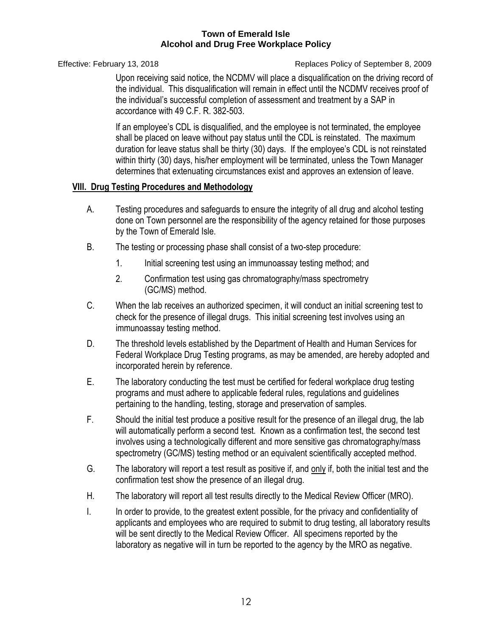Effective: February 13, 2018 Replaces Policy of September 8, 2009

Upon receiving said notice, the NCDMV will place a disqualification on the driving record of the individual. This disqualification will remain in effect until the NCDMV receives proof of the individual's successful completion of assessment and treatment by a SAP in accordance with 49 C.F. R. 382-503.

If an employee's CDL is disqualified, and the employee is not terminated, the employee shall be placed on leave without pay status until the CDL is reinstated. The maximum duration for leave status shall be thirty (30) days. If the employee's CDL is not reinstated within thirty (30) days, his/her employment will be terminated, unless the Town Manager determines that extenuating circumstances exist and approves an extension of leave.

# **VIII. Drug Testing Procedures and Methodology**

- A. Testing procedures and safeguards to ensure the integrity of all drug and alcohol testing done on Town personnel are the responsibility of the agency retained for those purposes by the Town of Emerald Isle.
- B. The testing or processing phase shall consist of a two-step procedure:
	- 1. Initial screening test using an immunoassay testing method; and
	- 2. Confirmation test using gas chromatography/mass spectrometry (GC/MS) method.
- C. When the lab receives an authorized specimen, it will conduct an initial screening test to check for the presence of illegal drugs. This initial screening test involves using an immunoassay testing method.
- D. The threshold levels established by the Department of Health and Human Services for Federal Workplace Drug Testing programs, as may be amended, are hereby adopted and incorporated herein by reference.
- E. The laboratory conducting the test must be certified for federal workplace drug testing programs and must adhere to applicable federal rules, regulations and guidelines pertaining to the handling, testing, storage and preservation of samples.
- F. Should the initial test produce a positive result for the presence of an illegal drug, the lab will automatically perform a second test. Known as a confirmation test, the second test involves using a technologically different and more sensitive gas chromatography/mass spectrometry (GC/MS) testing method or an equivalent scientifically accepted method.
- G. The laboratory will report a test result as positive if, and only if, both the initial test and the confirmation test show the presence of an illegal drug.
- H. The laboratory will report all test results directly to the Medical Review Officer (MRO).
- I. In order to provide, to the greatest extent possible, for the privacy and confidentiality of applicants and employees who are required to submit to drug testing, all laboratory results will be sent directly to the Medical Review Officer. All specimens reported by the laboratory as negative will in turn be reported to the agency by the MRO as negative.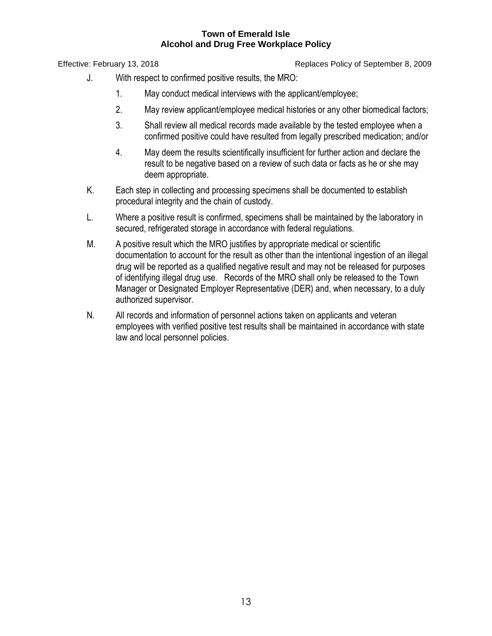Effective: February 13, 2018 Replaces Policy of September 8, 2009

- J. With respect to confirmed positive results, the MRO:
	- 1. May conduct medical interviews with the applicant/employee;
	- 2. May review applicant/employee medical histories or any other biomedical factors;
	- 3. Shall review all medical records made available by the tested employee when a confirmed positive could have resulted from legally prescribed medication; and/or
	- 4. May deem the results scientifically insufficient for further action and declare the result to be negative based on a review of such data or facts as he or she may deem appropriate.
- K. Each step in collecting and processing specimens shall be documented to establish procedural integrity and the chain of custody.
- L. Where a positive result is confirmed, specimens shall be maintained by the laboratory in secured, refrigerated storage in accordance with federal regulations.
- M. A positive result which the MRO justifies by appropriate medical or scientific documentation to account for the result as other than the intentional ingestion of an illegal drug will be reported as a qualified negative result and may not be released for purposes of identifying illegal drug use. Records of the MRO shall only be released to the Town Manager or Designated Employer Representative (DER) and, when necessary, to a duly authorized supervisor.
- N. All records and information of personnel actions taken on applicants and veteran employees with verified positive test results shall be maintained in accordance with state law and local personnel policies.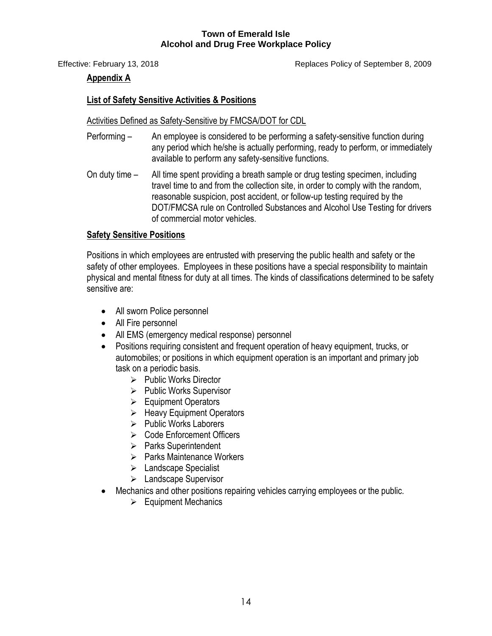Effective: February 13, 2018 Replaces Policy of September 8, 2009

# **Appendix A**

# **List of Safety Sensitive Activities & Positions**

## Activities Defined as Safety-Sensitive by FMCSA/DOT for CDL

- Performing An employee is considered to be performing a safety-sensitive function during any period which he/she is actually performing, ready to perform, or immediately available to perform any safety-sensitive functions.
- On duty time All time spent providing a breath sample or drug testing specimen, including travel time to and from the collection site, in order to comply with the random, reasonable suspicion, post accident, or follow-up testing required by the DOT/FMCSA rule on Controlled Substances and Alcohol Use Testing for drivers of commercial motor vehicles.

# **Safety Sensitive Positions**

Positions in which employees are entrusted with preserving the public health and safety or the safety of other employees. Employees in these positions have a special responsibility to maintain physical and mental fitness for duty at all times. The kinds of classifications determined to be safety sensitive are:

- All sworn Police personnel
- All Fire personnel
- All EMS (emergency medical response) personnel
- Positions requiring consistent and frequent operation of heavy equipment, trucks, or automobiles; or positions in which equipment operation is an important and primary job task on a periodic basis.
	- $\triangleright$  Public Works Director
	- $\triangleright$  Public Works Supervisor
	- **Equipment Operators**
	- $\triangleright$  Heavy Equipment Operators
	- $\triangleright$  Public Works Laborers
	- Code Enforcement Officers
	- ▶ Parks Superintendent
	- $\triangleright$  Parks Maintenance Workers
	- $\triangleright$  Landscape Specialist
	- Landscape Supervisor
- Mechanics and other positions repairing vehicles carrying employees or the public.
	- $\triangleright$  Equipment Mechanics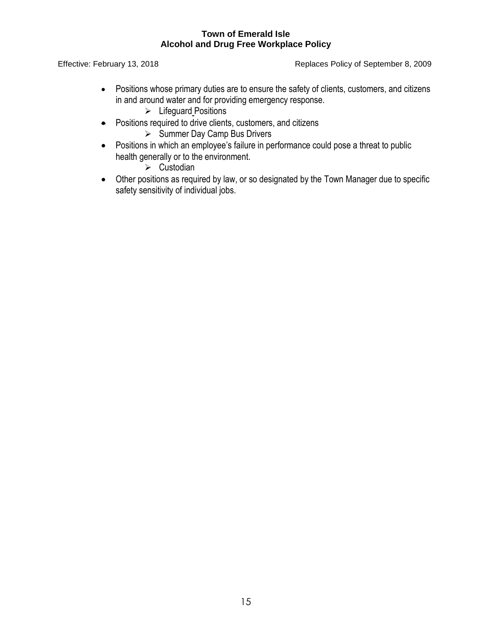Effective: February 13, 2018 **Replaces Policy of September 8, 2009** 

- Positions whose primary duties are to ensure the safety of clients, customers, and citizens in and around water and for providing emergency response.
	- $\triangleright$  Lifeguard Positions
- Positions required to drive clients, customers, and citizens
	- $\triangleright$  Summer Day Camp Bus Drivers
- Positions in which an employee's failure in performance could pose a threat to public health generally or to the environment.

 $\triangleright$  Custodian

 Other positions as required by law, or so designated by the Town Manager due to specific safety sensitivity of individual jobs.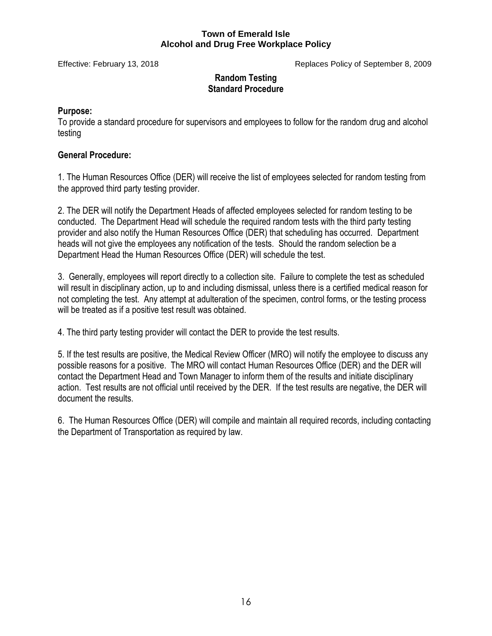Effective: February 13, 2018 Replaces Policy of September 8, 2009

# **Random Testing Standard Procedure**

# **Purpose:**

To provide a standard procedure for supervisors and employees to follow for the random drug and alcohol testing

# **General Procedure:**

1. The Human Resources Office (DER) will receive the list of employees selected for random testing from the approved third party testing provider.

2. The DER will notify the Department Heads of affected employees selected for random testing to be conducted. The Department Head will schedule the required random tests with the third party testing provider and also notify the Human Resources Office (DER) that scheduling has occurred. Department heads will not give the employees any notification of the tests. Should the random selection be a Department Head the Human Resources Office (DER) will schedule the test.

3. Generally, employees will report directly to a collection site. Failure to complete the test as scheduled will result in disciplinary action, up to and including dismissal, unless there is a certified medical reason for not completing the test. Any attempt at adulteration of the specimen, control forms, or the testing process will be treated as if a positive test result was obtained.

4. The third party testing provider will contact the DER to provide the test results.

5. If the test results are positive, the Medical Review Officer (MRO) will notify the employee to discuss any possible reasons for a positive. The MRO will contact Human Resources Office (DER) and the DER will contact the Department Head and Town Manager to inform them of the results and initiate disciplinary action. Test results are not official until received by the DER. If the test results are negative, the DER will document the results.

6. The Human Resources Office (DER) will compile and maintain all required records, including contacting the Department of Transportation as required by law.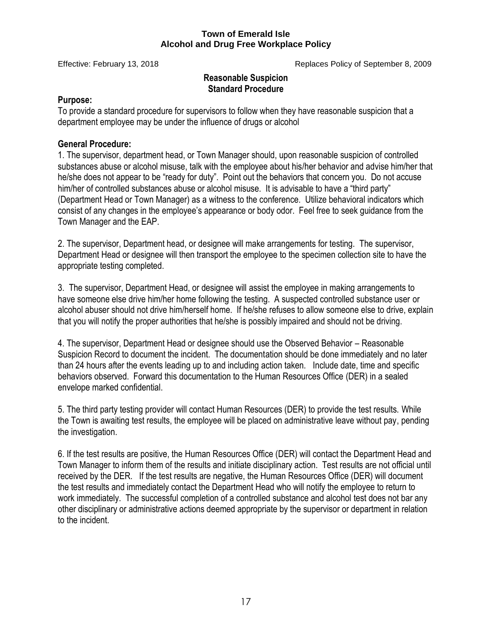Effective: February 13, 2018 Replaces Policy of September 8, 2009

## **Reasonable Suspicion Standard Procedure**

# **Purpose:**

To provide a standard procedure for supervisors to follow when they have reasonable suspicion that a department employee may be under the influence of drugs or alcohol

# **General Procedure:**

1. The supervisor, department head, or Town Manager should, upon reasonable suspicion of controlled substances abuse or alcohol misuse, talk with the employee about his/her behavior and advise him/her that he/she does not appear to be "ready for duty". Point out the behaviors that concern you. Do not accuse him/her of controlled substances abuse or alcohol misuse. It is advisable to have a "third party" (Department Head or Town Manager) as a witness to the conference. Utilize behavioral indicators which consist of any changes in the employee's appearance or body odor. Feel free to seek guidance from the Town Manager and the EAP.

2. The supervisor, Department head, or designee will make arrangements for testing. The supervisor, Department Head or designee will then transport the employee to the specimen collection site to have the appropriate testing completed.

3. The supervisor, Department Head, or designee will assist the employee in making arrangements to have someone else drive him/her home following the testing. A suspected controlled substance user or alcohol abuser should not drive him/herself home. If he/she refuses to allow someone else to drive, explain that you will notify the proper authorities that he/she is possibly impaired and should not be driving.

4. The supervisor, Department Head or designee should use the Observed Behavior – Reasonable Suspicion Record to document the incident. The documentation should be done immediately and no later than 24 hours after the events leading up to and including action taken. Include date, time and specific behaviors observed. Forward this documentation to the Human Resources Office (DER) in a sealed envelope marked confidential.

5. The third party testing provider will contact Human Resources (DER) to provide the test results. While the Town is awaiting test results, the employee will be placed on administrative leave without pay, pending the investigation.

6. If the test results are positive, the Human Resources Office (DER) will contact the Department Head and Town Manager to inform them of the results and initiate disciplinary action. Test results are not official until received by the DER. If the test results are negative, the Human Resources Office (DER) will document the test results and immediately contact the Department Head who will notify the employee to return to work immediately. The successful completion of a controlled substance and alcohol test does not bar any other disciplinary or administrative actions deemed appropriate by the supervisor or department in relation to the incident.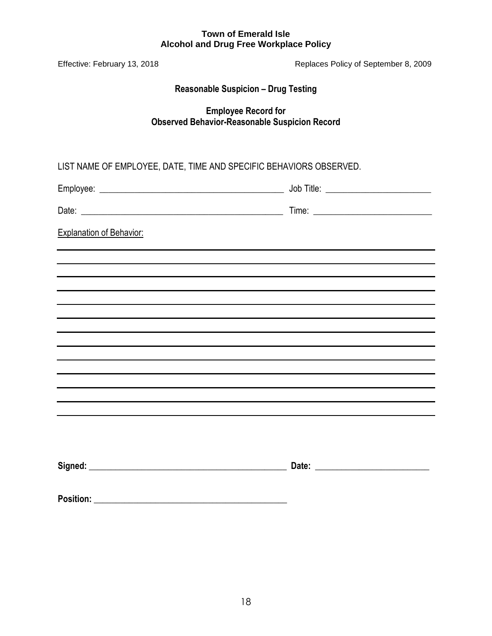| Effective: February 13, 2018                                                       | Replaces Policy of September 8, 2009 |  |  |
|------------------------------------------------------------------------------------|--------------------------------------|--|--|
| <b>Reasonable Suspicion - Drug Testing</b>                                         |                                      |  |  |
| <b>Employee Record for</b><br><b>Observed Behavior-Reasonable Suspicion Record</b> |                                      |  |  |
| LIST NAME OF EMPLOYEE, DATE, TIME AND SPECIFIC BEHAVIORS OBSERVED.                 |                                      |  |  |
|                                                                                    |                                      |  |  |
|                                                                                    |                                      |  |  |
| <b>Explanation of Behavior:</b>                                                    |                                      |  |  |
|                                                                                    |                                      |  |  |
|                                                                                    |                                      |  |  |
| ,我们也不会有什么。""我们的人,我们也不会有什么?""我们的人,我们也不会有什么?""我们的人,我们也不会有什么?""我们的人,我们也不会有什么?""我们的人   |                                      |  |  |
| ,我们也不会有什么。""我们的人,我们也不会有什么?""我们的人,我们也不会有什么?""我们的人,我们也不会有什么?""我们的人,我们也不会有什么?""我们的人   |                                      |  |  |
|                                                                                    |                                      |  |  |
|                                                                                    |                                      |  |  |
|                                                                                    |                                      |  |  |
|                                                                                    |                                      |  |  |
|                                                                                    |                                      |  |  |
|                                                                                    |                                      |  |  |
|                                                                                    |                                      |  |  |
|                                                                                    |                                      |  |  |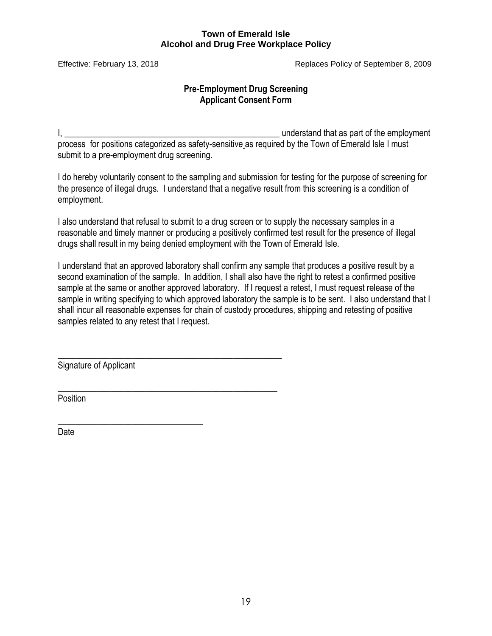Effective: February 13, 2018 Replaces Policy of September 8, 2009

# **Pre-Employment Drug Screening Applicant Consent Form**

I, the contract of the employment is a set of the employment of the employment of the employment of the employment process for positions categorized as safety-sensitive as required by the Town of Emerald Isle I must submit to a pre-employment drug screening.

I do hereby voluntarily consent to the sampling and submission for testing for the purpose of screening for the presence of illegal drugs. I understand that a negative result from this screening is a condition of employment.

I also understand that refusal to submit to a drug screen or to supply the necessary samples in a reasonable and timely manner or producing a positively confirmed test result for the presence of illegal drugs shall result in my being denied employment with the Town of Emerald Isle.

I understand that an approved laboratory shall confirm any sample that produces a positive result by a second examination of the sample. In addition, I shall also have the right to retest a confirmed positive sample at the same or another approved laboratory. If I request a retest, I must request release of the sample in writing specifying to which approved laboratory the sample is to be sent. I also understand that I shall incur all reasonable expenses for chain of custody procedures, shipping and retesting of positive samples related to any retest that I request.

Signature of Applicant

\_\_\_\_\_\_\_\_\_\_\_\_\_\_\_\_\_\_\_\_\_\_\_\_\_\_\_\_\_\_\_\_\_\_\_\_\_\_\_\_\_\_\_\_\_\_\_\_\_\_\_

\_\_\_\_\_\_\_\_\_\_\_\_\_\_\_\_\_\_\_\_\_\_\_\_\_\_\_\_\_\_\_\_\_\_\_\_\_\_\_\_\_\_\_\_\_\_\_\_\_\_

\_\_\_\_\_\_\_\_\_\_\_\_\_\_\_\_\_\_\_\_\_\_\_\_\_\_\_\_\_\_\_\_\_

Position

Date